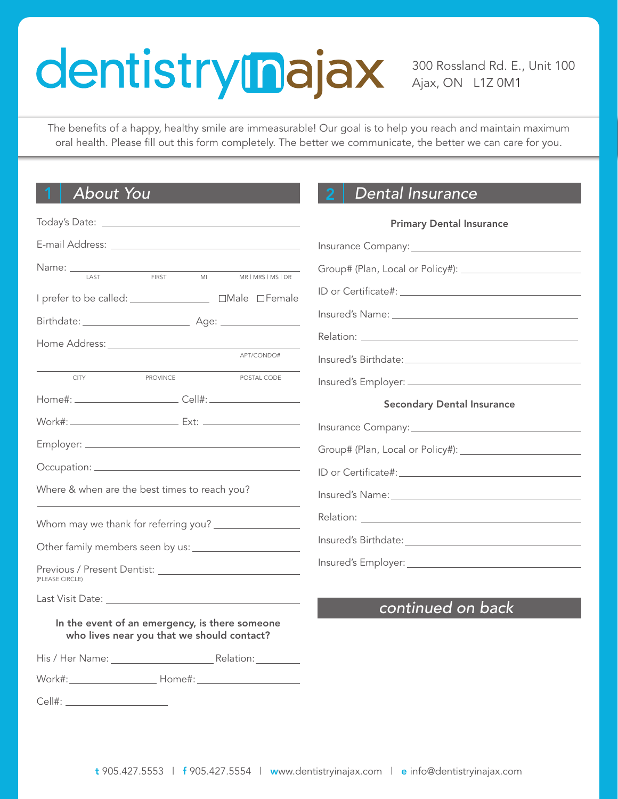# dentistrymajax

300 Rossland Rd. E., Unit 100 Ajax, ON L1Z 0M1

The benefits of a happy, healthy smile are immeasurable! Our goal is to help you reach and maintain maximum oral health. Please fill out this form completely. The better we communicate, the better we can care for you.

# 1 *About You Dental Insurance*

Ī

|                                                                                                                                                                                                                                      |                                      | <b>Primary Dental Insurance</b>                                                                                |
|--------------------------------------------------------------------------------------------------------------------------------------------------------------------------------------------------------------------------------------|--------------------------------------|----------------------------------------------------------------------------------------------------------------|
|                                                                                                                                                                                                                                      |                                      | Insurance Company: 1999 March 2014 1999 March 2014 12:30 March 2014 12:30 March 2014 12:30 March 2014 12:30 Ma |
| Name: _____<br><b>FIRST</b><br>LAST                                                                                                                                                                                                  | M <sub>l</sub><br>MR I MRS I MS I DR |                                                                                                                |
|                                                                                                                                                                                                                                      |                                      |                                                                                                                |
|                                                                                                                                                                                                                                      |                                      |                                                                                                                |
|                                                                                                                                                                                                                                      |                                      |                                                                                                                |
|                                                                                                                                                                                                                                      | APT/CONDO#                           | Insured's Birthdate: Management of the Contractor of the Contractor of the Contractor of the Contractor of the |
| <b>CITY</b><br>PROVINCE                                                                                                                                                                                                              | POSTAL CODE                          |                                                                                                                |
|                                                                                                                                                                                                                                      |                                      | <b>Secondary Dental Insurance</b>                                                                              |
|                                                                                                                                                                                                                                      |                                      |                                                                                                                |
|                                                                                                                                                                                                                                      |                                      |                                                                                                                |
|                                                                                                                                                                                                                                      |                                      |                                                                                                                |
| Where & when are the best times to reach you?                                                                                                                                                                                        |                                      |                                                                                                                |
|                                                                                                                                                                                                                                      |                                      |                                                                                                                |
| Other family members seen by us:                                                                                                                                                                                                     |                                      |                                                                                                                |
| (PLEASE CIRCLE)                                                                                                                                                                                                                      |                                      |                                                                                                                |
| Last Visit Date: <u>Alexander State State State State State State State State State State State State State State State State State State State State State State State State State State State State State State State State St</u> |                                      |                                                                                                                |
| In the event of an emergency, is there someone<br>who lives near you that we should contact?                                                                                                                                         |                                      | continued on back                                                                                              |
| His / Her Name: Mannell Relation: Management Control Relation:                                                                                                                                                                       |                                      |                                                                                                                |
| Home#:<br>Work#:                                                                                                                                                                                                                     |                                      |                                                                                                                |

Cell#: